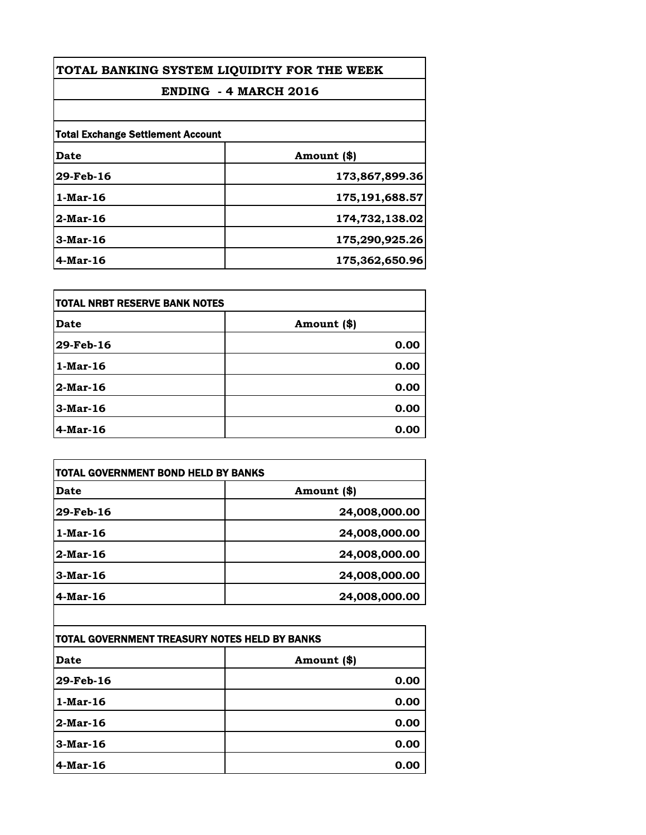| TOTAL BANKING SYSTEM LIQUIDITY FOR THE WEEK<br><b>ENDING - 4 MARCH 2016</b> |                |
|-----------------------------------------------------------------------------|----------------|
|                                                                             |                |
| <b>Total Exchange Settlement Account</b>                                    |                |
| Date                                                                        | Amount (\$)    |
| 29-Feb-16                                                                   | 173,867,899.36 |
| 1-Mar-16                                                                    | 175,191,688.57 |
| $2$ -Mar-16                                                                 | 174,732,138.02 |
| $3$ -Mar-16                                                                 | 175,290,925.26 |
| $4$ -Mar-16                                                                 | 175,362,650.96 |

| itotal NRBT RESERVE BANK NOTES |             |
|--------------------------------|-------------|
| Date                           | Amount (\$) |
| 29-Feb-16                      | 0.00        |
| $1$ -Mar-16                    | 0.00        |
| $2$ -Mar-16                    | 0.00        |
| $3-Mar-16$                     | 0.00        |
| 4-Mar-16                       | 0.00        |

| TOTAL GOVERNMENT BOND HELD BY BANKS           |               |
|-----------------------------------------------|---------------|
| <b>Date</b>                                   | Amount (\$)   |
| 29-Feb-16                                     | 24,008,000.00 |
| 1-Mar-16                                      | 24,008,000.00 |
| $2$ -Mar-16                                   | 24,008,000.00 |
| $3-Mar-16$                                    | 24,008,000.00 |
| $4$ -Mar-16                                   | 24,008,000.00 |
|                                               |               |
| TOTAL GOVERNMENT TREASURY NOTES HELD BY BANKS |               |
| <b>Date</b>                                   | Amount (\$)   |
| 29-Feb-16                                     | 0.00          |
| 1-Mar-16                                      | 0.00          |

| 47-I CD-10  | v.vv |
|-------------|------|
| $1-Mar-16$  | 0.00 |
| $2$ -Mar-16 | 0.00 |
| $3-Mar-16$  | 0.00 |
| 4-Mar-16    | 0.00 |

 $\mathcal I$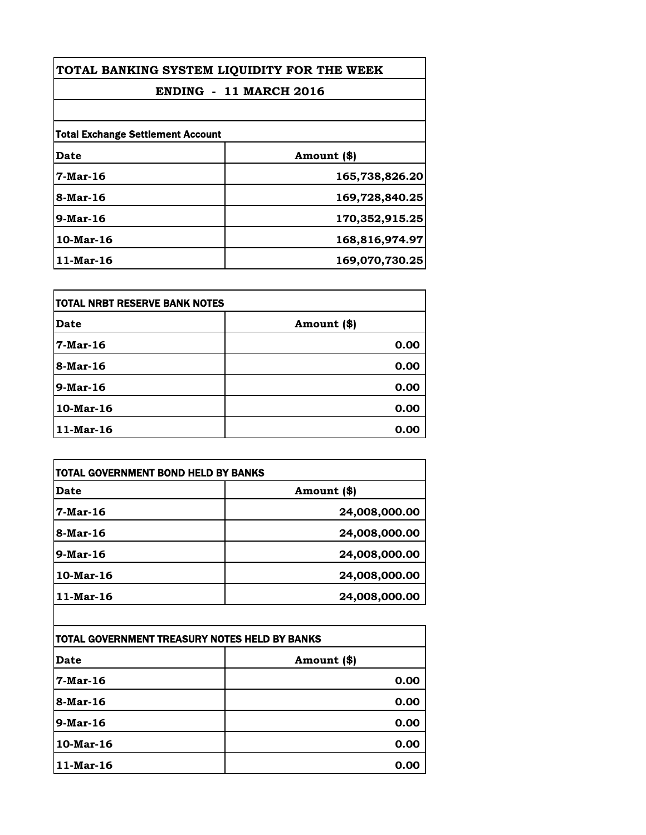| TOTAL BANKING SYSTEM LIQUIDITY FOR THE WEEK |                |
|---------------------------------------------|----------------|
| <b>ENDING - 11 MARCH 2016</b>               |                |
|                                             |                |
| <b>Total Exchange Settlement Account</b>    |                |
| Date                                        | Amount (\$)    |
| <b>7-Mar-16</b>                             | 165,738,826.20 |
| 8-Mar-16                                    | 169,728,840.25 |
| 9-Mar-16                                    | 170,352,915.25 |
| $10$ -Mar-16                                | 168,816,974.97 |
| 11-Mar-16                                   | 169,070,730.25 |

| itotal NRBT RESERVE BANK NOTES |             |
|--------------------------------|-------------|
| Date                           | Amount (\$) |
| 7-Mar-16                       | 0.00        |
| 8-Mar-16                       | 0.00        |
| $9$ -Mar-16                    | 0.00        |
| 10-Mar-16                      | 0.00        |
| $11$ -Mar-16                   | 0.00        |

| Date                                          | Amount (\$)   |
|-----------------------------------------------|---------------|
| 7-Mar-16                                      | 24,008,000.00 |
| 8-Mar-16                                      | 24,008,000.00 |
| $9$ -Mar-16                                   | 24,008,000.00 |
| $10$ -Mar-16                                  | 24,008,000.00 |
| 11-Mar-16                                     | 24,008,000.00 |
|                                               |               |
| TOTAL GOVERNMENT TREASURY NOTES HELD BY BANKS |               |
| Date                                          | Amount (\$)   |

| <b>Date</b> | Amount (\$) |
|-------------|-------------|
| 7-Mar-16    | 0.00        |
| 8-Mar-16    | 0.00        |
| 9-Mar-16    | 0.00        |
| 10-Mar-16   | 0.00        |
| 11-Mar-16   | 0.00        |
|             |             |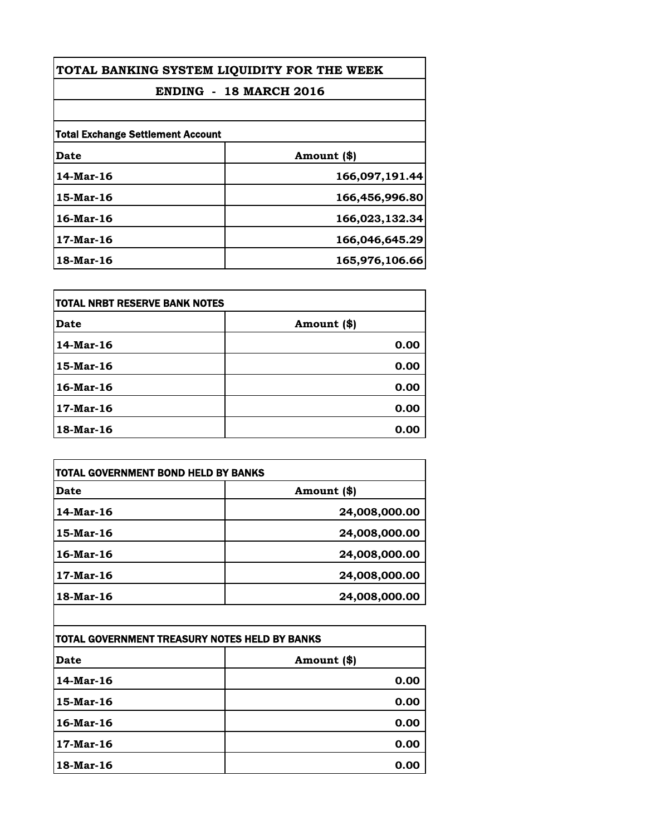| TOTAL BANKING SYSTEM LIQUIDITY FOR THE WEEK |                |
|---------------------------------------------|----------------|
| <b>ENDING - 18 MARCH 2016</b>               |                |
|                                             |                |
| <b>Total Exchange Settlement Account</b>    |                |
| Date                                        | Amount (\$)    |
| 14-Mar-16                                   | 166,097,191.44 |
| 15-Mar-16                                   | 166,456,996.80 |
| 16-Mar-16                                   | 166,023,132.34 |
| 17-Mar-16                                   | 166,046,645.29 |
| 18-Mar-16                                   | 165,976,106.66 |

| itotal NRBT RESERVE BANK NOTES |             |
|--------------------------------|-------------|
| <b>Date</b>                    | Amount (\$) |
| 14-Mar-16                      | 0.00        |
| 15-Mar-16                      | 0.00        |
| 16-Mar-16                      | 0.00        |
| 17-Mar-16                      | 0.00        |
| 18-Mar-16                      | 0.00        |

| Date      | Amount (\$)   |
|-----------|---------------|
| 14-Mar-16 | 24,008,000.00 |
| 15-Mar-16 | 24,008,000.00 |
| 16-Mar-16 | 24,008,000.00 |
| 17-Mar-16 | 24,008,000.00 |
| 18-Mar-16 | 24,008,000.00 |

| <b>TOTAL GOVERNMENT TREASURY NOTES HELD BY BANKS</b> |             |
|------------------------------------------------------|-------------|
| Date                                                 | Amount (\$) |
| 14-Mar-16                                            | 0.00        |
| 15-Mar-16                                            | 0.00        |
| 16-Mar-16                                            | 0.00        |
| 17-Mar-16                                            | 0.00        |
| 18-Mar-16                                            | 0.00        |